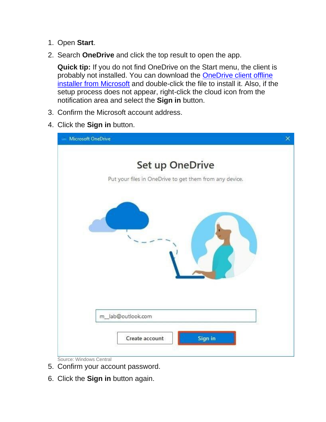- 1. Open **Start**.
- 2. Search **OneDrive** and click the top result to open the app.

**Quick tip:** If you do not find OneDrive on the Start menu, the client is probably not installed. You can download the **OneDrive client offline** [installer from Microsoft](https://go.microsoft.com/fwlink/p/?linkid=851311) and double-click the file to install it. Also, if the setup process does not appear, right-click the cloud icon from the notification area and select the **Sign in** button.

- 3. Confirm the Microsoft account address.
- 4. Click the **Sign in** button.

| <b>Microsoft OneDrive</b>                                                  | $\times$ |
|----------------------------------------------------------------------------|----------|
| Set up OneDrive<br>Put your files in OneDrive to get them from any device. |          |
|                                                                            |          |
|                                                                            |          |
| m_lab@outlook.com                                                          |          |
| Sign in<br>Create account<br>Source: Windows Central                       |          |

- 5. Confirm your account password.
- 6. Click the **Sign in** button again.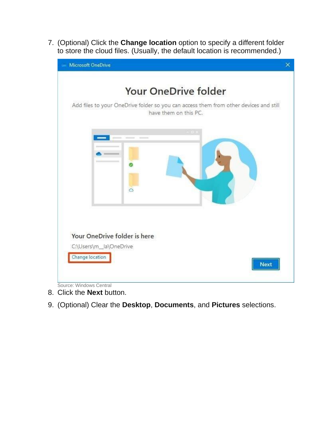7. (Optional) Click the **Change location** option to specify a different folder to store the cloud files. (Usually, the default location is recommended.)





- 8. Click the **Next** button.
- 9. (Optional) Clear the **Desktop**, **Documents**, and **Pictures** selections.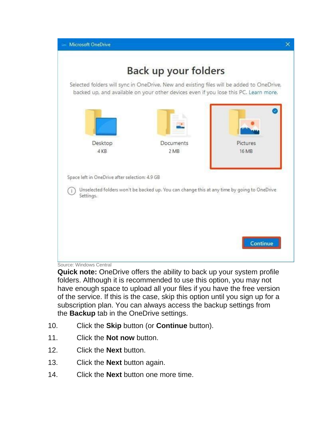

Source: Windows Central

**Quick note:** OneDrive offers the ability to back up your system profile folders. Although it is recommended to use this option, you may not have enough space to upload all your files if you have the free version of the service. If this is the case, skip this option until you sign up for a subscription plan. You can always access the backup settings from the **Backup** tab in the OneDrive settings.

- 10. Click the **Skip** button (or **Continue** button).
- 11. Click the **Not now** button.
- 12. Click the **Next** button.
- 13. Click the **Next** button again.
- 14. Click the **Next** button one more time.